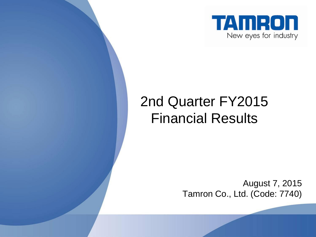

## 2nd Quarter FY2015 Financial Results

August 7, 2015 Tamron Co., Ltd. (Code: 7740)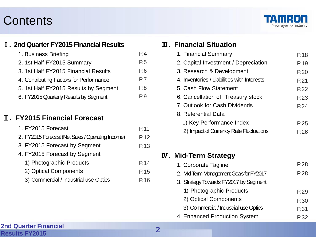## **Contents**



#### Ⅰ**. 2nd Quarter FY2015 Financial Results**

| 1. Business Briefing                    | P.4            |
|-----------------------------------------|----------------|
| 2. 1st Half FY2015 Summary              | P <sub>5</sub> |
| 3. 1st Half FY2015 Financial Results    | P.6            |
| 4. Contributing Factors for Performance | P.7            |
| 5. 1st Half FY2015 Results by Segment   | P.8            |
| 6. FY2015 Quarterly Results by Segment  | P.9            |

#### Ⅱ**. FY2015 Financial Forecast**

| 1. FY2015 Forecast                                | P.11 |
|---------------------------------------------------|------|
| 2. FY2015 Forecast (Net Sales / Operating Income) | P.12 |
| 3. FY2015 Forecast by Segment                     | P.13 |
| 4. FY2015 Forecast by Segment                     |      |
| 1) Photographic Products                          | P.14 |
| 2) Optical Components                             | P.15 |
| 3) Commercial / Industrial-use Optics             | P.16 |

#### Ⅲ**. Financial Situation**

| 1. Financial Summary                        | P.18 |
|---------------------------------------------|------|
| 2. Capital Investment / Depreciation        | P.19 |
| 3. Research & Development                   | P.20 |
| 4. Inventories / Liabilities with Interests | P.21 |
| 5. Cash Flow Statement                      | P.22 |
| 6. Cancellation of Treasury stock           | P.23 |
| 7. Outlook for Cash Dividends               | P.24 |
| 8. Referential Data                         |      |
| 1) Key Performance Index                    | P.25 |
| 2) Impact of Currency Rate Fluctuations     | P 26 |
|                                             |      |

#### Ⅳ**. Mid-Term Strategy**

| 1. Corporate Tagline                    | P.28 |
|-----------------------------------------|------|
| 2. Mid-Term Management Goals for FY2017 | P.28 |
| 3. Strategy Towards FY2017 by Segment   |      |
| 1) Photographic Products                | P.29 |
| 2) Optical Components                   | P.30 |
| 3) Commercial / Industrial-use Optics   | P.31 |
| 4. Enhanced Production System           | P 32 |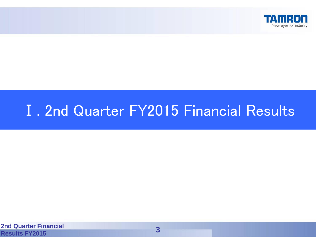

## Ⅰ. 2nd Quarter FY2015 Financial Results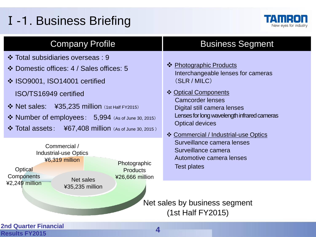## Ⅰ-1. Business Briefing



- Total subsidiaries overseas : 9
- Domestic offices: 4 / Sales offices: 5
- **❖ ISO9001, ISO14001 certified** 
	- ISO/TS16949 certified
- $\cdot$  Net sales: ¥35,235 million (1st Half FY2015)
- ◆ Number of employees: 5,994 (As of June 30, 2015)
- $\div$  Total assets:  $\div$  467,408 million (As of June 30, 2015)

#### **2nd Quarter Financial Results FY2015 4** Net sales ¥35,235 million Photographic **Products** ¥26,666 million **Optical Components** ¥2,249 million Commercial / Industrial-use Optics ¥6,319 million Net sales by business segment (1st Half FY2015) Surveillance camera Automotive camera lenses Test plates

## Company Profile **Business Segment**

- ❖ Photographic Products Interchangeable lenses for cameras (SLR / MILC)
- ❖ Optical Components Camcorder lenses Digital still camera lenses Lenses for long wavelength infrared cameras Optical devices
- Commercial / Industrial-use Optics Surveillance camera lenses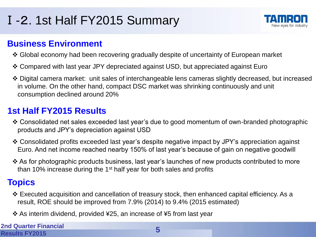## Ⅰ-2. 1st Half FY2015 Summary



### **Business Environment**

- Global economy had been recovering gradually despite of uncertainty of European market
- Compared with last year JPY depreciated against USD, but appreciated against Euro
- Digital camera market: unit sales of interchangeable lens cameras slightly decreased, but increased in volume. On the other hand, compact DSC market was shrinking continuously and unit consumption declined around 20%

## **1st Half FY2015 Results**

- Consolidated net sales exceeded last year's due to good momentum of own-branded photographic products and JPY's depreciation against USD
- Consolidated profits exceeded last year's despite negative impact by JPY's appreciation against Euro. And net income reached nearby 150% of last year's because of gain on negative goodwill
- As for photographic products business, last year's launches of new products contributed to more than 10% increase during the 1<sup>st</sup> half year for both sales and profits

## **Topics**

- Executed acquisition and cancellation of treasury stock, then enhanced capital efficiency. As a result, ROE should be improved from 7.9% (2014) to 9.4% (2015 estimated)
- As interim dividend, provided ¥25, an increase of ¥5 from last year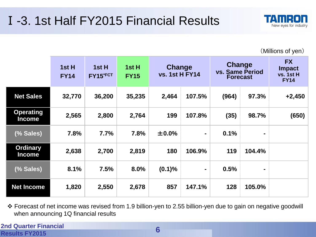

(Millions of yen)

|                                   | 1st H<br><b>FY14</b> | 1st H<br>FY15*FCT | 1st H<br><b>FY15</b> | Change<br><b>vs. 1st H FY14</b> |                | <b>Change</b><br>vs. Same Period<br><b>Forecast</b> |        | <b>FX</b><br><b>Impact</b><br>vs. 1st H<br><b>FY14</b> |
|-----------------------------------|----------------------|-------------------|----------------------|---------------------------------|----------------|-----------------------------------------------------|--------|--------------------------------------------------------|
| <b>Net Sales</b>                  | 32,770               | 36,200            | 35,235               | 2,464                           | 107.5%         | (964)                                               | 97.3%  | $+2,450$                                               |
| <b>Operating</b><br><b>Income</b> | 2,565                | 2,800             | 2,764                | 199                             | 107.8%         | (35)                                                | 98.7%  | (650)                                                  |
| (% Sales)                         | 7.8%                 | 7.7%              | 7.8%                 | ±0.0%                           | $\blacksquare$ | 0.1%                                                | ۰      |                                                        |
| <b>Ordinary</b><br><b>Income</b>  | 2,638                | 2,700             | 2,819                | 180                             | 106.9%         | 119                                                 | 104.4% |                                                        |
| (% Sales)                         | 8.1%                 | 7.5%              | 8.0%                 | (0.1)%                          | $\blacksquare$ | 0.5%                                                | ۰      |                                                        |
| <b>Net Income</b>                 | 1,820                | 2,550             | 2,678                | 857                             | 147.1%         | 128                                                 | 105.0% |                                                        |

 Forecast of net income was revised from 1.9 billion-yen to 2.55 billion-yen due to gain on negative goodwill when announcing 1Q financial results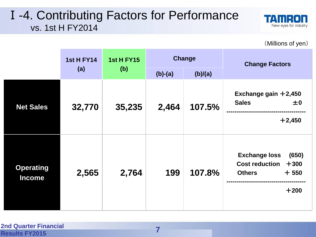## Ⅰ-4. Contributing Factors for Performance vs. 1st H FY2014



(Millions of yen)

|                                   | <b>1st H FY14</b><br>(a) | <b>1st H FY15</b><br>(b) |           | <b>Change</b> | <b>Change Factors</b>                                                                                 |
|-----------------------------------|--------------------------|--------------------------|-----------|---------------|-------------------------------------------------------------------------------------------------------|
|                                   |                          |                          | $(b)-(a)$ | (b)/(a)       |                                                                                                       |
| <b>Net Sales</b>                  | 32,770                   | 35,235                   | 2,464     | 107.5%        | Exchange gain $+2,450$<br><b>Sales</b><br>±0<br>$+2,450$                                              |
| <b>Operating</b><br><b>Income</b> | 2,565                    | 2,764                    | 199       | 107.8%        | <b>Exchange loss</b><br>(650)<br><b>Cost reduction</b><br>$+300$<br>$+550$<br><b>Others</b><br>$+200$ |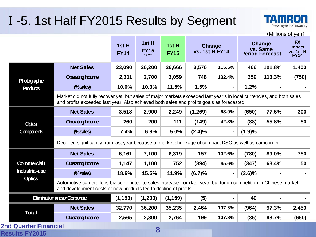## Ⅰ-5. 1st Half FY2015 Results by Segment



TAMIR

New eyes for industry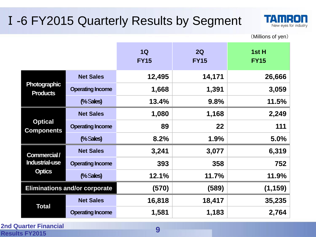## Ⅰ-6 FY2015 Quarterly Results by Segment



(Millions of yen)

|                                        |                                      | 1Q<br><b>FY15</b> | 2Q<br><b>FY15</b> | 1st H<br><b>FY15</b> |
|----------------------------------------|--------------------------------------|-------------------|-------------------|----------------------|
|                                        | <b>Net Sales</b>                     | 12,495            | 14,171            | 26,666               |
| <b>Photographic</b><br><b>Products</b> | <b>Operating Income</b>              | 1,668             | 1,391             | 3,059                |
|                                        | % Sales)                             | 13.4%             | 9.8%              | 11.5%                |
|                                        | <b>Net Sales</b>                     | 1,080             | 1,168             | 2,249                |
| <b>Optical</b><br><b>Components</b>    | <b>Operating Income</b>              | 89                | 22                | 111                  |
|                                        | % Sales)                             | 8.2%              | 1.9%              | 5.0%                 |
| Commercial/                            | <b>Net Sales</b>                     | 3,241             | 3,077             | 6,319                |
| <b>Industrial-use</b>                  | <b>Operating Income</b>              | 393               | 358               | 752                  |
| <b>Optics</b>                          | % Sales)                             | 12.1%             | 11.7%             | 11.9%                |
|                                        | <b>Eliminations and/or corporate</b> | (570)             | (589)             | (1, 159)             |
|                                        | <b>Net Sales</b>                     | 16,818            | 18,417            | 35,235               |
| <b>Total</b>                           | <b>Operating Income</b>              | 1,581             | 1,183             | 2,764                |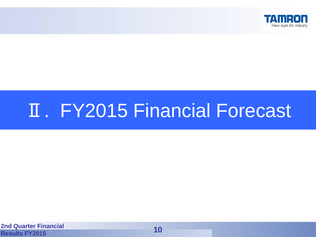

# Ⅱ. FY2015 Financial Forecast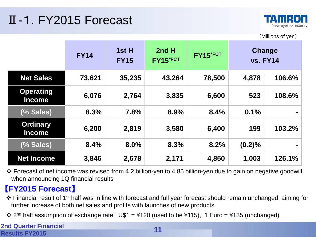## Ⅱ-1. FY2015 Forecast



(Millions of yen)

|                                   | <b>FY14</b> | 1st H<br><b>FY15</b> | 2nd H<br>FY15*FCT | FY15*FCT |           | <b>Change</b><br><b>vs. FY14</b> |
|-----------------------------------|-------------|----------------------|-------------------|----------|-----------|----------------------------------|
| <b>Net Sales</b>                  | 73,621      | 35,235               | 43,264            | 78,500   | 4,878     | 106.6%                           |
| <b>Operating</b><br><b>Income</b> | 6,076       | 2,764                | 3,835             | 6,600    | 523       | 108.6%                           |
| (% Sales)                         | 8.3%        | 7.8%                 | 8.9%              | 8.4%     | 0.1%      |                                  |
| <b>Ordinary</b><br><b>Income</b>  | 6,200       | 2,819                | 3,580             | 6,400    | 199       | 103.2%                           |
| (% Sales)                         | 8.4%        | 8.0%                 | 8.3%              | 8.2%     | $(0.2)\%$ |                                  |
| <b>Net Income</b>                 | 3,846       | 2,678                | 2,171             | 4,850    | 1,003     | 126.1%                           |

 Forecast of net income was revised from 4.2 billion-yen to 4.85 billion-yen due to gain on negative goodwill when announcing 1Q financial results

## 【**FY2015 Forecast**】

- Financial result of 1st half was in line with forecast and full year forecast should remain unchanged, aiming for further increase of both net sales and profits with launches of new products
- $\div$  2<sup>nd</sup> half assumption of exchange rate: U\$1 = ¥120 (used to be ¥115), 1 Euro = ¥135 (unchanged)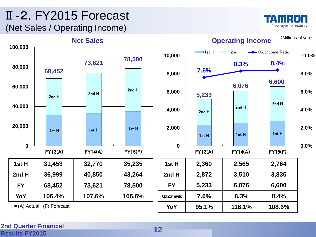## Ⅱ-2. FY2015 Forecast (Net Sales / Operating Income)



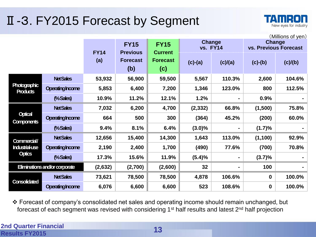## Ⅱ-3. FY2015 Forecast by Segment



|                                        | (Millions of yen)       |             |                                |                               |                           |                |                                 |         |
|----------------------------------------|-------------------------|-------------|--------------------------------|-------------------------------|---------------------------|----------------|---------------------------------|---------|
|                                        |                         | <b>FY14</b> | <b>FY15</b><br><b>Previous</b> | <b>FY15</b><br><b>Current</b> | Change<br><b>vs. FY14</b> |                | Change<br>vs. Previous Forecast |         |
|                                        |                         | (a)         | <b>Forecast</b><br>(b)         | <b>Forecast</b><br>(c)        | $(c)-(a)$                 | (c)/(a)        | $(c)-(b)$                       | (c)/(b) |
|                                        | <b>Net Sales</b>        | 53,932      | 56,900                         | 59,500                        | 5,567                     | 110.3%         | 2,600                           | 104.6%  |
| <b>Photographic</b><br><b>Products</b> | <b>Operating Income</b> | 5,853       | 6,400                          | 7,200                         | 1,346                     | 123.0%         | 800                             | 112.5%  |
|                                        | (%Sales)                | 10.9%       | 11.2%                          | 12.1%                         | 1.2%                      |                | 0.9%                            |         |
|                                        | <b>Net Sales</b>        | 7,032       | 6,200                          | 4,700                         | (2, 332)                  | 66.8%          | (1,500)                         | 75.8%   |
| <b>Optical</b><br><b>Components</b>    | <b>Operating Income</b> | 664         | 500                            | 300                           | (364)                     | 45.2%          | (200)                           | 60.0%   |
|                                        | %Sales)                 | 9.4%        | 8.1%                           | 6.4%                          | $(3.0)\%$                 |                | (1.7)%                          |         |
| Commercial/                            | <b>Net Sales</b>        | 12,656      | 15,400                         | 14,300                        | 1,643                     | 113.0%         | (1, 100)                        | 92.9%   |
| <b>Industrial-use</b>                  | <b>Operating Income</b> | 2,190       | 2,400                          | 1,700                         | (490)                     | 77.6%          | (700)                           | 70.8%   |
| <b>Optics</b>                          | %Sales)                 | 17.3%       | 15.6%                          | 11.9%                         | (5.4)%                    |                | (3.7)%                          |         |
| Eliminations and/or corporate          |                         | (2,632)     | (2,700)                        | (2,600)                       | 32                        | $\blacksquare$ | 100                             |         |
| <b>Consolidated</b>                    | <b>Net Sales</b>        | 73,621      | 78,500                         | 78,500                        | 4,878                     | 106.6%         | $\mathbf 0$                     | 100.0%  |
|                                        | <b>Operating Income</b> | 6,076       | 6,600                          | 6,600                         | 523                       | 108.6%         | $\bf{0}$                        | 100.0%  |

 Forecast of company's consolidated net sales and operating income should remain unchanged, but forecast of each segment was revised with considering 1<sup>st</sup> half results and latest 2<sup>nd</sup> half projection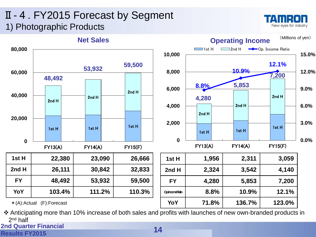## Ⅱ-4. FY2015 Forecast by Segment 1) Photographic Products





\*(A):Actual (F):Forecast

 Anticipating more than 10% increase of both sales and profits with launches of new own-branded products in 2<sup>nd</sup> half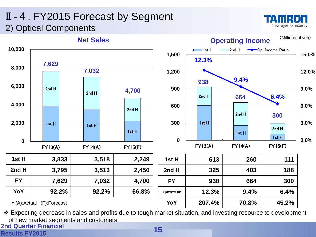## Ⅱ-4. FY2015 Forecast by Segment 2) Optical Components





\*(A):Actual (F):Forecast

**2nd Quarter Financial**  Expecting decrease in sales and profits due to tough market situation, and investing resource to development of new market segments and customers

#### **Results FY2015**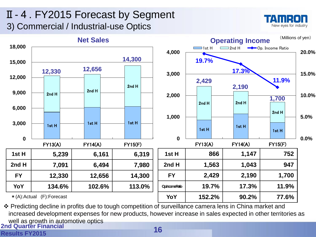## Ⅱ-4. FY2015 Forecast by Segment 3) Commercial / Industrial-use Optics





**2nd Quarter Financial**  \* Predicting decline in profits due to tough competition of surveillance camera lens in China market and increased development expenses for new products, however increase in sales expected in other territories as well as growth in automotive optics

#### **Results FY2015**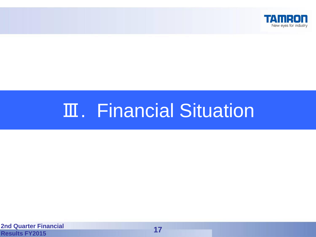

# Ⅲ. Financial Situation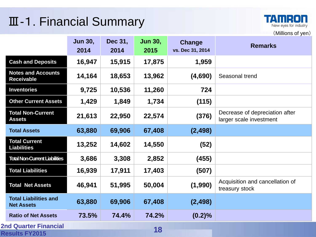## Ⅲ-1. Financial Summary



(Millions of yen)

|                                                       | <b>Jun 30,</b><br>2014 | Dec 31,<br>2014 | <b>Jun 30,</b><br>2015 | Change<br>vs. Dec 31, 2014 | <b>Remarks</b>                                            |
|-------------------------------------------------------|------------------------|-----------------|------------------------|----------------------------|-----------------------------------------------------------|
| <b>Cash and Deposits</b>                              | 16,947                 | 15,915          | 17,875                 | 1,959                      |                                                           |
| <b>Notes and Accounts</b><br><b>Receivable</b>        | 14,164                 | 18,653          | 13,962                 | (4,690)                    | Seasonal trend                                            |
| <b>Inventories</b>                                    | 9,725                  | 10,536          | 11,260                 | 724                        |                                                           |
| <b>Other Current Assets</b>                           | 1,429                  | 1,849           | 1,734                  | (115)                      |                                                           |
| <b>Total Non-Current</b><br><b>Assets</b>             | 21,613                 | 22,950          | 22,574                 | (376)                      | Decrease of depreciation after<br>larger scale investment |
| <b>Total Assets</b>                                   | 63,880                 | 69,906          | 67,408                 | (2, 498)                   |                                                           |
| <b>Total Current</b><br><b>Liabilities</b>            | 13,252                 | 14,602          | 14,550                 | (52)                       |                                                           |
| <b>Total Non-Current Liabilities</b>                  | 3,686                  | 3,308           | 2,852                  | (455)                      |                                                           |
| <b>Total Liabilities</b>                              | 16,939                 | 17,911          | 17,403                 | (507)                      |                                                           |
| <b>Total Net Assets</b>                               | 46,941                 | 51,995          | 50,004                 | (1,990)                    | Acquisition and cancellation of<br>treasury stock         |
| <b>Total Liabilities and</b><br><b>Net Assets</b>     | 63,880                 | 69,906          | 67,408                 | (2, 498)                   |                                                           |
| <b>Ratio of Net Assets</b>                            | 73.5%                  | 74.4%           | 74.2%                  | $(0.2)\%$                  |                                                           |
| <b>2nd Quarter Financial</b><br><b>Results FY2015</b> |                        |                 | 18                     |                            |                                                           |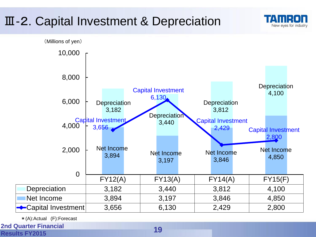## Ⅲ-2. Capital Investment & Depreciation



New eves for industry

\*(A):Actual (F):Forecast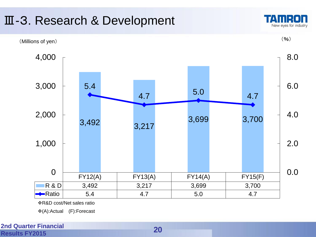

(A):Actual (F):Forecast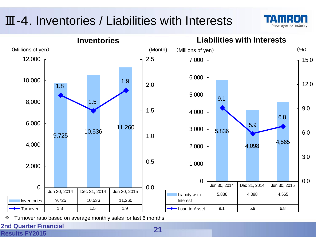## Ⅲ-4. Inventories / Liabilities with Interests





❖ Turnover ratio based on average monthly sales for last 6 months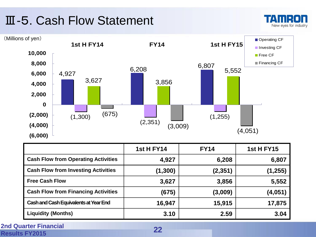## Ⅲ-5. Cash Flow Statement





|                                              | <b>1st H FY14</b> | <b>FY14</b> | <b>1st H FY15</b> |
|----------------------------------------------|-------------------|-------------|-------------------|
| <b>Cash Flow from Operating Activities</b>   | 4,927             | 6,208       | 6,807             |
| <b>Cash Flow from Investing Activities</b>   | (1, 300)          | (2,351)     | (1, 255)          |
| <b>Free Cash Flow</b>                        | 3,627             | 3,856       | 5,552             |
| <b>Cash Flow from Financing Activities</b>   | (675)             | (3,009)     | (4,051)           |
| <b>Cash and Cash Equivalents at Year End</b> | 16,947            | 15,915      | 17,875            |
| <b>Liquidity (Months)</b>                    | 3.10              | 2.59        | 3.04              |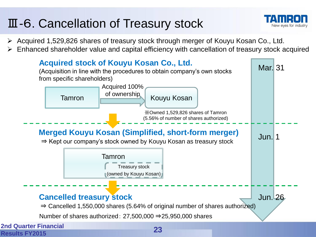## Ⅲ-6. Cancellation of Treasury stock



- Acquired 1,529,826 shares of treasury stock through merger of Kouyu Kosan Co., Ltd.
- Enhanced shareholder value and capital efficiency with cancellation of treasury stock acquired

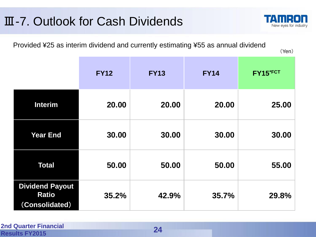## Ⅲ-7. Outlook for Cash Dividends

Provided ¥25 as interim dividend and currently estimating ¥55 as annual dividend

|                                                          | <b>FY12</b> | <b>FY13</b> | <b>FY14</b> | FY15*FCT |
|----------------------------------------------------------|-------------|-------------|-------------|----------|
| <b>Interim</b>                                           | 20.00       | 20.00       | 20.00       | 25.00    |
| <b>Year End</b>                                          | 30.00       | 30.00       | 30.00       | 30.00    |
| <b>Total</b>                                             | 50.00       | 50.00       | 50.00       | 55.00    |
| <b>Dividend Payout</b><br><b>Ratio</b><br>(Consolidated) | 35.2%       | 42.9%       | 35.7%       | 29.8%    |



(Yen)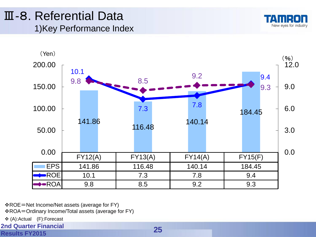## Ⅲ-8. Referential Data 1)Key Performance Index





- ROE=Net Income/Net assets (average for FY)
- ROA=Ordinary Income/Total assets (average for FY)
- (A):Actual (F):Forecast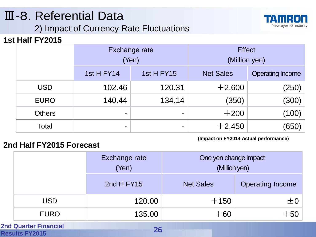## Ⅲ-8. Referential Data

2) Impact of Currency Rate Fluctuations



### **1st Half FY2015**

|               | Exchange rate<br>(Yen) |            | <b>Effect</b><br>(Million yen) |                         |
|---------------|------------------------|------------|--------------------------------|-------------------------|
|               | 1st H FY14             | 1st H FY15 | <b>Net Sales</b>               | <b>Operating Income</b> |
| <b>USD</b>    | 102.46                 | 120.31     | $+2,600$                       | (250)                   |
| <b>EURO</b>   | 140.44                 | 134.14     | (350)                          | (300)                   |
| <b>Others</b> | -                      |            | $+200$                         | (100)                   |
| Total         | ۰                      |            | $+2,450$                       | (650)                   |

**(Impact on FY2014 Actual performance)**

### **2nd Half FY2015 Forecast**

|                              | Exchange rate<br>(Yen) | One yen change impact<br>(Million yen) |                         |
|------------------------------|------------------------|----------------------------------------|-------------------------|
|                              | 2nd H $FY15$           | <b>Net Sales</b>                       | <b>Operating Income</b> |
| <b>USD</b>                   | 120.00                 | $+150$                                 | $\pm 0$                 |
| <b>EURO</b>                  | 135.00                 | $+60$                                  | $+50$                   |
| <b>2nd Quarter Financial</b> | <b>OC</b>              |                                        |                         |

#### **Results FY2015 26**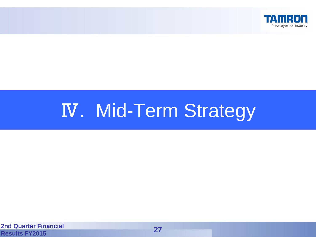

# Ⅳ. Mid-Term Strategy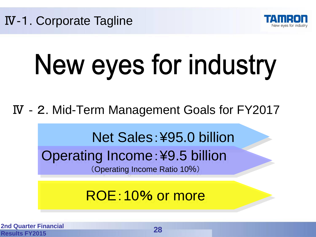



# New eyes for industry

Ⅳ‐2. Mid-Term Management Goals for FY2017

Net Sales:¥95.0 billion

Operating Income:¥9.5 billion (Operating Income Ratio 10%)

ROE:10% or more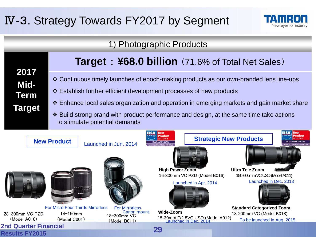## Ⅳ-3. Strategy Towards FY2017 by Segment



### 1) Photographic Products

| 2017          |
|---------------|
| <b>Mid-</b>   |
| Term          |
| <b>Target</b> |

## **Target** : **¥68.0 billion** (71.6% of Total Net Sales)

- Continuous timely launches of epoch-making products as our own-branded lens line-ups
- Establish further efficient development processes of new products
- Enhance local sales organization and operation in emerging markets and gain market share
- Build strong brand with product performance and design, at the same time take actions to stimulate potential demands

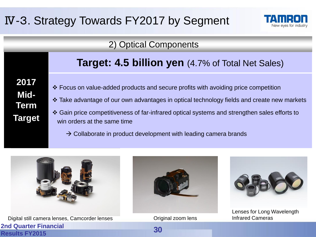## Ⅳ-3. Strategy Towards FY2017 by Segment



### 2) Optical Components

## **Target: 4.5 billion yen** (4.7% of Total Net Sales)

**2017 Mid-Term Target**

- Focus on value-added products and secure profits with avoiding price competition
- Take advantage of our own advantages in optical technology fields and create new markets
- Gain price competitiveness of far-infrared optical systems and strengthen sales efforts to win orders at the same time
	- $\rightarrow$  Collaborate in product development with leading camera brands



**2nd Quarter Financial Results FY2015** Digital still camera lenses, Camcorder lenses **Infrared Cameras** Coriginal zoom lens and Infrared Cameras



Original zoom lens

**30**



Lenses for Long Wavelength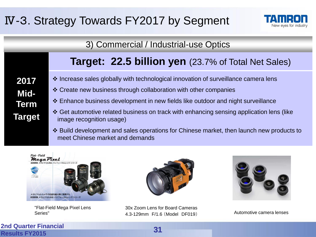## Ⅳ-3. Strategy Towards FY2017 by Segment



3) Commercial / Industrial-use Optics

## **Target: 22.5 billion yen** (23.7% of Total Net Sales)

- Increase sales globally with technological innovation of surveillance camera lens
	- Create new business through collaboration with other companies
	- Enhance business development in new fields like outdoor and night surveillance
	- ❖ Get automotive related business on track with enhancing sensing application lens (like image recognition usage)
	- Build development and sales operations for Chinese market, then launch new products to meet Chinese market and demands



"Flat-Field Mega Pixel Lens Series"



30x Zoom Lens for Board Cameras 4.3-129mm F/1.6 (Model DF019)



Automotive camera lenses

**2nd Quarter Financial Results FY2015 31**

**2017**

**Mid-**

**Term**

**Target**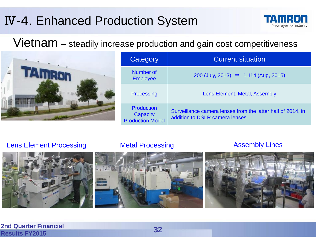## Ⅳ-4. Enhanced Production System



Vietnam – steadily increase production and gain cost competitiveness



| Category                                                 | <b>Current situation</b>                                                                      |  |
|----------------------------------------------------------|-----------------------------------------------------------------------------------------------|--|
| Number of<br><b>Employee</b>                             | 200 (July, 2013) $\Rightarrow$ 1,114 (Aug, 2015)                                              |  |
| Processing                                               | Lens Element, Metal, Assembly                                                                 |  |
| <b>Production</b><br>Capacity<br><b>Production Model</b> | Surveillance camera lenses from the latter half of 2014, in<br>addition to DSLR camera lenses |  |

Lens Element Processing **Metal Processing Communist Assembly Lines**